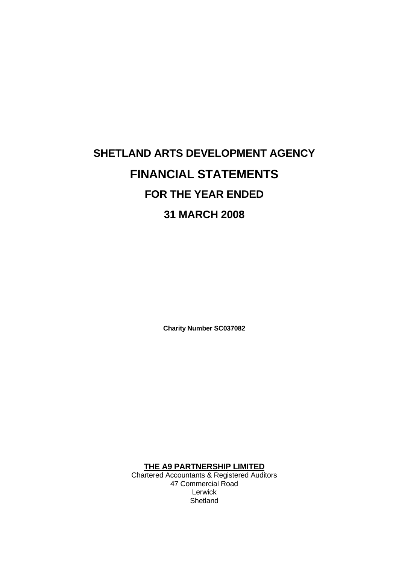# **SHETLAND ARTS DEVELOPMENT AGENCY FINANCIAL STATEMENTS FOR THE YEAR ENDED 31 MARCH 2008**

**Charity Number SC037082** 

**THE A9 PARTNERSHIP LIMITED**

Chartered Accountants & Registered Auditors 47 Commercial Road Lerwick **Shetland**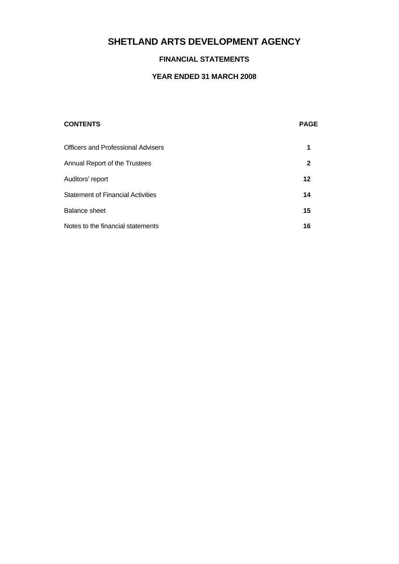# **FINANCIAL STATEMENTS**

| <b>CONTENTS</b>                           | <b>PAGE</b> |
|-------------------------------------------|-------------|
| <b>Officers and Professional Advisers</b> | 1           |
| Annual Report of the Trustees             | 2           |
| Auditors' report                          | 12          |
| <b>Statement of Financial Activities</b>  | 14          |
| <b>Balance sheet</b>                      | 15          |
| Notes to the financial statements         | 16          |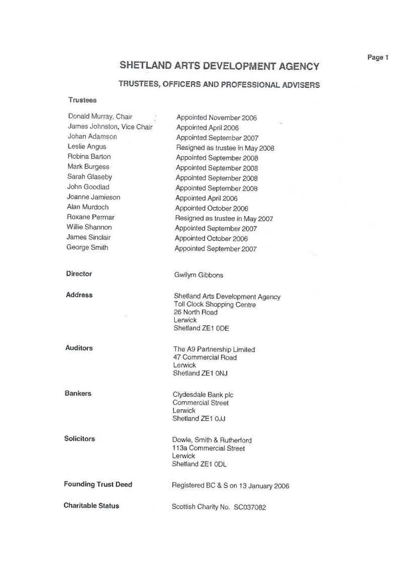# TRUSTEES, OFFICERS AND PROFESSIONAL ADVISERS

## **Trustees**

| Donald Murray, Chair       |                                                                                                                |
|----------------------------|----------------------------------------------------------------------------------------------------------------|
| James Johnston, Vice Chair | Appointed November 2006                                                                                        |
| Johan Adamson              | Appointed April 2006<br>Appointed September 2007                                                               |
| Leslie Angus               | Resigned as trustee in May 2008                                                                                |
| Robina Barton              | Appointed September 2008                                                                                       |
| Mark Burgess               | Appointed September 2008                                                                                       |
| Sarah Glaseby              |                                                                                                                |
| John Goodlad               | Appointed September 2008                                                                                       |
| Joanne Jamieson            | Appointed September 2008                                                                                       |
| Alan Murdoch               | Appointed April 2006                                                                                           |
| Roxane Permar              | Appointed October 2006                                                                                         |
| Willie Shannon             | Resigned as trustee in May 2007                                                                                |
| James Sinclair             | Appointed September 2007                                                                                       |
| George Smith               | Appointed October 2006                                                                                         |
|                            | Appointed September 2007                                                                                       |
| Director                   | Gwilym Gibbons                                                                                                 |
| <b>Address</b>             | Shetland Arts Development Agency<br>Toll Clock Shopping Centre<br>26 North Road<br>Lerwick<br>Shetland ZE1 ODE |
| <b>Auditors</b>            | The A9 Partnership Limited<br>47 Commercial Road<br>Lerwick<br>Shetland ZE1 0NJ                                |
| <b>Bankers</b>             | Clydesdale Bank plc                                                                                            |
|                            | Commercial Street<br>Lerwick<br>Shetland ZE1 OJJ                                                               |
| <b>Solicitors</b>          | Dowle, Smith & Rutherford                                                                                      |
|                            | 113a Commercial Street<br>Lerwick<br>Shetland ZE1 ODL                                                          |
| <b>Founding Trust Deed</b> | Registered BC & S on 13 January 2006                                                                           |
| <b>Charitable Status</b>   | Scottish Charity No. SC037082                                                                                  |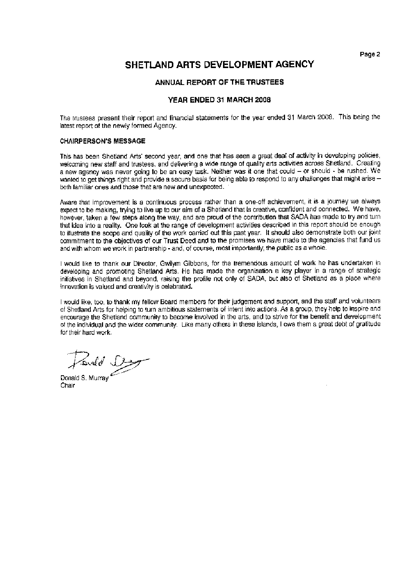# SHETLAND ARTS DEVELOPMENT AGENCY

#### ANNUAL REPORT OF THE TRUSTEES

### YEAR ENDED 31 MARCH 2008

The trustees present their report and financial statements for the year ended 31 March 2008. This being the latest report of the newly formed Agency.

#### **CHAIRPERSON'S MESSAGE**

This has been Shetland Arts' second year, and one that has seen a great deal of activity in developing policies, welcoming new staff and trustees, and delivering a wide range of quality arts activities across Shetland. Creating a new agency was never going to be an easy task. Neither was it one that could - or should - be rushed. We wanted to get things right and provide a secure basis for being able to respond to any challenges that might arise both familiar ones and those that are new and unexpected.

Aware that improvement is a continuous process rather than a one-off achievement, it is a journey we always expect to be making, trying to live up to our aim of a Shetland that is creative, confident and connected. We have, however, taken a few steps along the way, and are proud of the contribution that SADA has made to try and turn that idea into a reality. One look at the range of development activities described in this report should be enough to illustrate the scope and quality of the work carried out this past year. It should also demonstrate both our joint commitment to the objectives of our Trust Deed and to the promises we have made to the agencies that fund us and with whom we work in partnership - and, of course, most importantly, the public as a whole.

I would like to thank our Director. Gwilvm Gibbons, for the tremendous amount of work he has undertaken in developing and promoting Shetland Arts. He has made the organisation a key player in a range of strategic initiatives in Shetland and beyond, raising the profile not only of SADA, but also of Shetland as a place where innovation is valued and creativity is celebrated.

I would like, too, to thank my fellow Board members for their judgement and support, and the staff and volunteers of Shetland Arts for helping to turn ambitious statements of intent into actions. As a group, they help to inspire and encourage the Shetland community to become involved in the arts, and to strive for the benefit and development of the individual and the wider community. Like many others in these islands, I owe them a great debt of gratitude for their hard work.

Panald Stage

Chair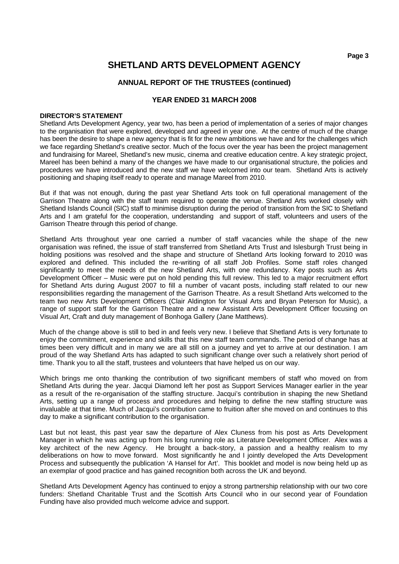# **ANNUAL REPORT OF THE TRUSTEES (continued)**

# **YEAR ENDED 31 MARCH 2008**

### **DIRECTOR'S STATEMENT**

Shetland Arts Development Agency, year two, has been a period of implementation of a series of major changes to the organisation that were explored, developed and agreed in year one. At the centre of much of the change has been the desire to shape a new agency that is fit for the new ambitions we have and for the challenges which we face regarding Shetland's creative sector. Much of the focus over the year has been the project management and fundraising for Mareel, Shetland's new music, cinema and creative education centre. A key strategic project, Mareel has been behind a many of the changes we have made to our organisational structure, the policies and procedures we have introduced and the new staff we have welcomed into our team. Shetland Arts is actively positioning and shaping itself ready to operate and manage Mareel from 2010.

But if that was not enough, during the past year Shetland Arts took on full operational management of the Garrison Theatre along with the staff team required to operate the venue. Shetland Arts worked closely with Shetland Islands Council (SIC) staff to minimise disruption during the period of transition from the SIC to Shetland Arts and I am grateful for the cooperation, understanding and support of staff, volunteers and users of the Garrison Theatre through this period of change.

Shetland Arts throughout year one carried a number of staff vacancies while the shape of the new organisation was refined, the issue of staff transferred from Shetland Arts Trust and Islesburgh Trust being in holding positions was resolved and the shape and structure of Shetland Arts looking forward to 2010 was explored and defined. This included the re-writing of all staff Job Profiles. Some staff roles changed significantly to meet the needs of the new Shetland Arts, with one redundancy. Key posts such as Arts Development Officer – Music were put on hold pending this full review. This led to a major recruitment effort for Shetland Arts during August 2007 to fill a number of vacant posts, including staff related to our new responsibilities regarding the management of the Garrison Theatre. As a result Shetland Arts welcomed to the team two new Arts Development Officers (Clair Aldington for Visual Arts and Bryan Peterson for Music), a range of support staff for the Garrison Theatre and a new Assistant Arts Development Officer focusing on Visual Art, Craft and duty management of Bonhoga Gallery (Jane Matthews).

Much of the change above is still to bed in and feels very new. I believe that Shetland Arts is very fortunate to enjoy the commitment, experience and skills that this new staff team commands. The period of change has at times been very difficult and in many we are all still on a journey and yet to arrive at our destination. I am proud of the way Shetland Arts has adapted to such significant change over such a relatively short period of time. Thank you to all the staff, trustees and volunteers that have helped us on our way.

Which brings me onto thanking the contribution of two significant members of staff who moved on from Shetland Arts during the year. Jacqui Diamond left her post as Support Services Manager earlier in the year as a result of the re-organisation of the staffing structure. Jacqui's contribution in shaping the new Shetland Arts, setting up a range of process and procedures and helping to define the new staffing structure was invaluable at that time. Much of Jacqui's contribution came to fruition after she moved on and continues to this day to make a significant contribution to the organisation.

Last but not least, this past year saw the departure of Alex Cluness from his post as Arts Development Manager in which he was acting up from his long running role as Literature Development Officer. Alex was a key architect of the new Agency. He brought a back-story, a passion and a healthy realism to my deliberations on how to move forward. Most significantly he and I jointly developed the Arts Development Process and subsequently the publication 'A Hansel for Art'. This booklet and model is now being held up as an exemplar of good practice and has gained recognition both across the UK and beyond.

Shetland Arts Development Agency has continued to enjoy a strong partnership relationship with our two core funders: Shetland Charitable Trust and the Scottish Arts Council who in our second year of Foundation Funding have also provided much welcome advice and support.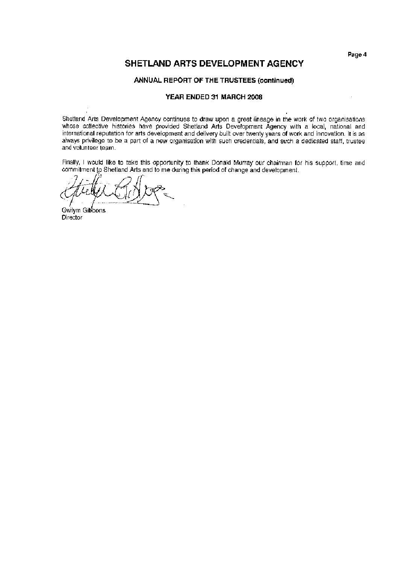# SHETLAND ARTS DEVELOPMENT AGENCY

#### ANNUAL REPORT OF THE TRUSTEES (continued)

#### YEAR ENDED 31 MARCH 2008

Shetland Arts Development Agency continues to draw upon a great lineage in the work of two organisations whose collective histories have provided Shetland Arts Development Agency with a local, national and international reputation for arts development and delivery built over twenty years of work and innovation. It is as always privilege to be a part of a new organisation with such credentials, and such a dedicated staff, trustee and volunteer team.

Finally, I would like to take this opportunity to thank Donald Murray our chairman for his support, time and commitment to Shetland Arts and to me during this period of change and development.

Gwilvm Gibbons Director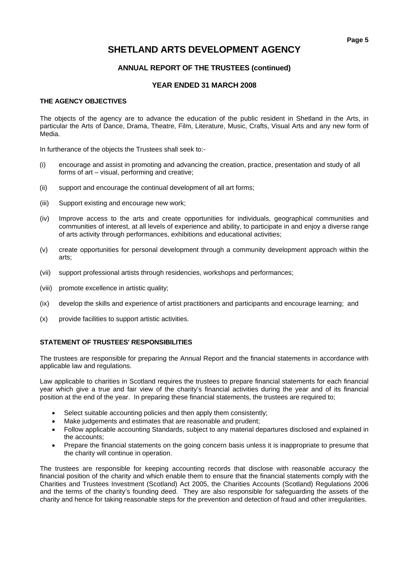# **ANNUAL REPORT OF THE TRUSTEES (continued)**

# **YEAR ENDED 31 MARCH 2008**

# **THE AGENCY OBJECTIVES**

The objects of the agency are to advance the education of the public resident in Shetland in the Arts, in particular the Arts of Dance, Drama, Theatre, Film, Literature, Music, Crafts, Visual Arts and any new form of Media.

In furtherance of the objects the Trustees shall seek to:-

- (i) encourage and assist in promoting and advancing the creation, practice, presentation and study of all forms of art – visual, performing and creative;
- (ii) support and encourage the continual development of all art forms;
- (iii) Support existing and encourage new work;
- (iv) Improve access to the arts and create opportunities for individuals, geographical communities and communities of interest, at all levels of experience and ability, to participate in and enjoy a diverse range of arts activity through performances, exhibitions and educational activities;
- (v) create opportunities for personal development through a community development approach within the arts;
- (vii) support professional artists through residencies, workshops and performances;
- (viii) promote excellence in artistic quality;
- (ix) develop the skills and experience of artist practitioners and participants and encourage learning; and
- (x) provide facilities to support artistic activities.

## **STATEMENT OF TRUSTEES' RESPONSIBILITIES**

The trustees are responsible for preparing the Annual Report and the financial statements in accordance with applicable law and regulations.

Law applicable to charities in Scotland requires the trustees to prepare financial statements for each financial year which give a true and fair view of the charity's financial activities during the year and of its financial position at the end of the year. In preparing these financial statements, the trustees are required to;

- Select suitable accounting policies and then apply them consistently;
- Make judgements and estimates that are reasonable and prudent;
- Follow applicable accounting Standards, subject to any material departures disclosed and explained in the accounts;
- Prepare the financial statements on the going concern basis unless it is inappropriate to presume that the charity will continue in operation.

The trustees are responsible for keeping accounting records that disclose with reasonable accuracy the financial position of the charity and which enable them to ensure that the financial statements comply with the Charities and Trustees Investment (Scotland) Act 2005, the Charities Accounts (Scotland) Regulations 2006 and the terms of the charity's founding deed. They are also responsible for safeguarding the assets of the charity and hence for taking reasonable steps for the prevention and detection of fraud and other irregularities.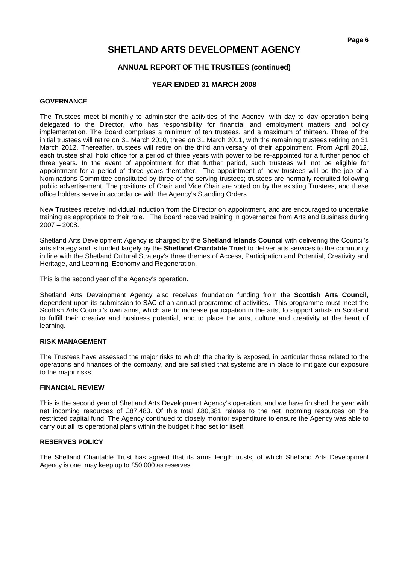# **ANNUAL REPORT OF THE TRUSTEES (continued)**

# **YEAR ENDED 31 MARCH 2008**

### **GOVERNANCE**

The Trustees meet bi-monthly to administer the activities of the Agency, with day to day operation being delegated to the Director, who has responsibility for financial and employment matters and policy implementation. The Board comprises a minimum of ten trustees, and a maximum of thirteen. Three of the initial trustees will retire on 31 March 2010, three on 31 March 2011, with the remaining trustees retiring on 31 March 2012. Thereafter, trustees will retire on the third anniversary of their appointment. From April 2012, each trustee shall hold office for a period of three years with power to be re-appointed for a further period of three years. In the event of appointment for that further period, such trustees will not be eligible for appointment for a period of three years thereafter. The appointment of new trustees will be the job of a Nominations Committee constituted by three of the serving trustees; trustees are normally recruited following public advertisement. The positions of Chair and Vice Chair are voted on by the existing Trustees, and these office holders serve in accordance with the Agency's Standing Orders.

New Trustees receive individual induction from the Director on appointment, and are encouraged to undertake training as appropriate to their role. The Board received training in governance from Arts and Business during 2007 – 2008.

Shetland Arts Development Agency is charged by the **Shetland Islands Council** with delivering the Council's arts strategy and is funded largely by the **Shetland Charitable Trust** to deliver arts services to the community in line with the Shetland Cultural Strategy's three themes of Access, Participation and Potential, Creativity and Heritage, and Learning, Economy and Regeneration.

This is the second year of the Agency's operation.

Shetland Arts Development Agency also receives foundation funding from the **Scottish Arts Council**, dependent upon its submission to SAC of an annual programme of activities. This programme must meet the Scottish Arts Council's own aims, which are to increase participation in the arts, to support artists in Scotland to fulfill their creative and business potential, and to place the arts, culture and creativity at the heart of learning.

# **RISK MANAGEMENT**

The Trustees have assessed the major risks to which the charity is exposed, in particular those related to the operations and finances of the company, and are satisfied that systems are in place to mitigate our exposure to the major risks.

#### **FINANCIAL REVIEW**

This is the second year of Shetland Arts Development Agency's operation, and we have finished the year with net incoming resources of £87,483. Of this total £80,381 relates to the net incoming resources on the restricted capital fund. The Agency continued to closely monitor expenditure to ensure the Agency was able to carry out all its operational plans within the budget it had set for itself.

#### **RESERVES POLICY**

The Shetland Charitable Trust has agreed that its arms length trusts, of which Shetland Arts Development Agency is one, may keep up to £50,000 as reserves.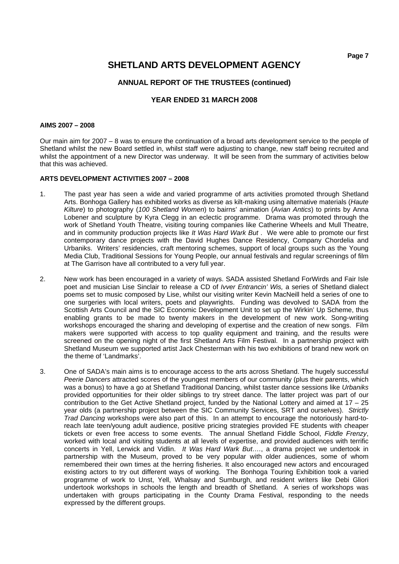# **SHETLAND ARTS DEVELOPMENT AGENCY**

# **ANNUAL REPORT OF THE TRUSTEES (continued)**

## **YEAR ENDED 31 MARCH 2008**

#### **AIMS 2007 – 2008**

Our main aim for 2007 – 8 was to ensure the continuation of a broad arts development service to the people of Shetland whilst the new Board settled in, whilst staff were adjusting to change, new staff being recruited and whilst the appointment of a new Director was underway. It will be seen from the summary of activities below that this was achieved.

#### **ARTS DEVELOPMENT ACTIVITIES 2007 – 2008**

- 1. The past year has seen a wide and varied programme of arts activities promoted through Shetland Arts. Bonhoga Gallery has exhibited works as diverse as kilt-making using alternative materials (*Haute Kilture*) to photography (*100 Shetland Women*) to bairns' animation (*Avian Antics*) to prints by Anna Lobener and sculpture by Kyra Clegg in an eclectic programme. Drama was promoted through the work of Shetland Youth Theatre, visiting touring companies like Catherine Wheels and Mull Theatre, and in community production projects like *It Was Hard Wark But* . We were able to promote our first contemporary dance projects with the David Hughes Dance Residency, Company Chordelia and Urbaniks. Writers' residencies, craft mentoring schemes, support of local groups such as the Young Media Club, Traditional Sessions for Young People, our annual festivals and regular screenings of film at The Garrison have all contributed to a very full year.
- 2. New work has been encouraged in a variety of ways. SADA assisted Shetland ForWirds and Fair Isle poet and musician Lise Sinclair to release a CD of *Ivver Entrancin' Wis,* a series of Shetland dialect poems set to music composed by Lise, whilst our visiting writer Kevin MacNeill held a series of one to one surgeries with local writers, poets and playwrights. Funding was devolved to SADA from the Scottish Arts Council and the SIC Economic Development Unit to set up the Wirkin' Up Scheme, thus enabling grants to be made to twenty makers in the development of new work. Song-writing workshops encouraged the sharing and developing of expertise and the creation of new songs. Film makers were supported with access to top quality equipment and training, and the results were screened on the opening night of the first Shetland Arts Film Festival. In a partnership project with Shetland Museum we supported artist Jack Chesterman with his two exhibitions of brand new work on the theme of 'Landmarks'.
- 3. One of SADA's main aims is to encourage access to the arts across Shetland. The hugely successful *Peerie Dancers* attracted scores of the youngest members of our community (plus their parents, which was a bonus) to have a go at Shetland Traditional Dancing, whilst taster dance sessions like *Urbaniks* provided opportunities for their older siblings to try street dance. The latter project was part of our contribution to the Get Active Shetland project, funded by the National Lottery and aimed at 17 – 25 year olds (a partnership project between the SIC Community Services, SRT and ourselves). *Strictly Trad Dancing* workshops were also part of this. In an attempt to encourage the notoriously hard-toreach late teen/young adult audience, positive pricing strategies provided FE students with cheaper tickets or even free access to some events. The annual Shetland Fiddle School, *Fiddle Frenzy*, worked with local and visiting students at all levels of expertise, and provided audiences with terrific concerts in Yell, Lerwick and Vidlin. *It Was Hard Wark But….*, a drama project we undertook in partnership with the Museum, proved to be very popular with older audiences, some of whom remembered their own times at the herring fisheries. It also encouraged new actors and encouraged existing actors to try out different ways of working. The Bonhoga Touring Exhibition took a varied programme of work to Unst, Yell, Whalsay and Sumburgh, and resident writers like Debi Gliori undertook workshops in schools the length and breadth of Shetland. A series of workshops was undertaken with groups participating in the County Drama Festival, responding to the needs expressed by the different groups.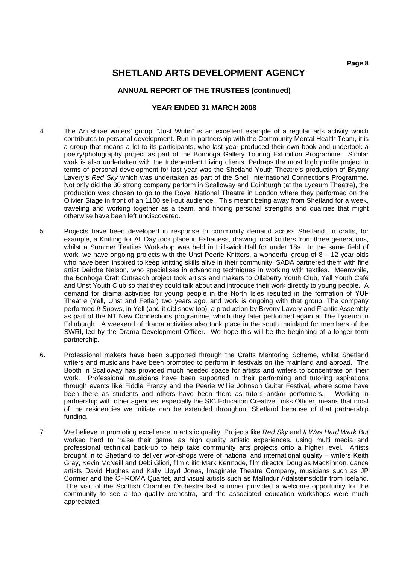# **ANNUAL REPORT OF THE TRUSTEES (continued)**

- 4. The Annsbrae writers' group, "Just Writin" is an excellent example of a regular arts activity which contributes to personal development. Run in partnership with the Community Mental Health Team, it is a group that means a lot to its participants, who last year produced their own book and undertook a poetry/photography project as part of the Bonhoga Gallery Touring Exhibition Programme. Similar work is also undertaken with the Independent Living clients. Perhaps the most high profile project in terms of personal development for last year was the Shetland Youth Theatre's production of Bryony Lavery's *Red Sky* which was undertaken as part of the Shell International Connections Programme. Not only did the 30 strong company perform in Scalloway and Edinburgh (at the Lyceum Theatre), the production was chosen to go to the Royal National Theatre in London where they performed on the Olivier Stage in front of an 1100 sell-out audience. This meant being away from Shetland for a week, traveling and working together as a team, and finding personal strengths and qualities that might otherwise have been left undiscovered.
- 5. Projects have been developed in response to community demand across Shetland. In crafts, for example, a Knitting for All Day took place in Eshaness, drawing local knitters from three generations, whilst a Summer Textiles Workshop was held in Hillswick Hall for under 18s. In the same field of work, we have ongoing projects with the Unst Peerie Knitters, a wonderful group of  $8 - 12$  year olds who have been inspired to keep knitting skills alive in their community. SADA partnered them with fine artist Deirdre Nelson, who specialises in advancing techniques in working with textiles. Meanwhile, the Bonhoga Craft Outreach project took artists and makers to Ollaberry Youth Club, Yell Youth Café and Unst Youth Club so that they could talk about and introduce their work directly to young people. A demand for drama activities for young people in the North Isles resulted in the formation of YUF Theatre (Yell, Unst and Fetlar) two years ago, and work is ongoing with that group. The company performed *It Snows*, in Yell (and it did snow too), a production by Bryony Lavery and Frantic Assembly as part of the NT New Connections programme, which they later performed again at The Lyceum in Edinburgh. A weekend of drama activities also took place in the south mainland for members of the SWRI, led by the Drama Development Officer. We hope this will be the beginning of a longer term partnership.
- 6. Professional makers have been supported through the Crafts Mentoring Scheme, whilst Shetland writers and musicians have been promoted to perform in festivals on the mainland and abroad. The Booth in Scalloway has provided much needed space for artists and writers to concentrate on their work. Professional musicians have been supported in their performing and tutoring aspirations through events like Fiddle Frenzy and the Peerie Willie Johnson Guitar Festival, where some have been there as students and others have been there as tutors and/or performers. Working in partnership with other agencies, especially the SIC Education Creative Links Officer, means that most of the residencies we initiate can be extended throughout Shetland because of that partnership funding.
- 7. We believe in promoting excellence in artistic quality. Projects like *Red Sky* and *It Was Hard Wark But*  worked hard to 'raise their game' as high quality artistic experiences, using multi media and professional technical back-up to help take community arts projects onto a higher level. Artists brought in to Shetland to deliver workshops were of national and international quality – writers Keith Gray, Kevin McNeill and Debi Gliori, film critic Mark Kermode, film director Douglas MacKinnon, dance artists David Hughes and Kally Lloyd Jones, Imaginate Theatre Company, musicians such as JP Cormier and the CHROMA Quartet, and visual artists such as Malfridur Adalsteinsdottir from Iceland. The visit of the Scottish Chamber Orchestra last summer provided a welcome opportunity for the community to see a top quality orchestra, and the associated education workshops were much appreciated.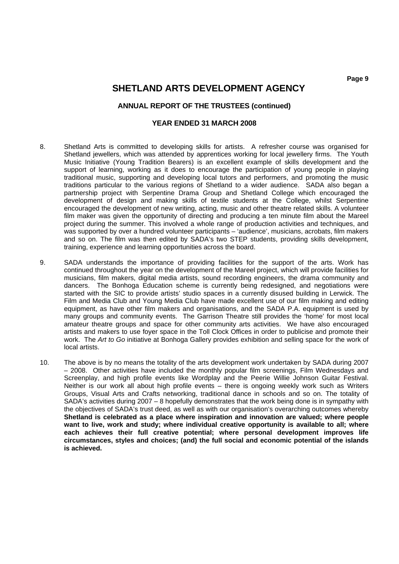### **ANNUAL REPORT OF THE TRUSTEES (continued)**

- 8. Shetland Arts is committed to developing skills for artists. A refresher course was organised for Shetland jewellers, which was attended by apprentices working for local jewellery firms. The Youth Music Initiative (Young Tradition Bearers) is an excellent example of skills development and the support of learning, working as it does to encourage the participation of young people in playing traditional music, supporting and developing local tutors and performers, and promoting the music traditions particular to the various regions of Shetland to a wider audience. SADA also began a partnership project with Serpentine Drama Group and Shetland College which encouraged the development of design and making skills of textile students at the College, whilst Serpentine encouraged the development of new writing, acting, music and other theatre related skills. A volunteer film maker was given the opportunity of directing and producing a ten minute film about the Mareel project during the summer. This involved a whole range of production activities and techniques, and was supported by over a hundred volunteer participants – 'audience', musicians, acrobats, film makers and so on. The film was then edited by SADA's two STEP students, providing skills development, training, experience and learning opportunities across the board.
- 9. SADA understands the importance of providing facilities for the support of the arts. Work has continued throughout the year on the development of the Mareel project, which will provide facilities for musicians, film makers, digital media artists, sound recording engineers, the drama community and dancers. The Bonhoga Education scheme is currently being redesigned, and negotiations were started with the SIC to provide artists' studio spaces in a currently disused building in Lerwick. The Film and Media Club and Young Media Club have made excellent use of our film making and editing equipment, as have other film makers and organisations, and the SADA P.A. equipment is used by many groups and community events. The Garrison Theatre still provides the 'home' for most local amateur theatre groups and space for other community arts activities. We have also encouraged artists and makers to use foyer space in the Toll Clock Offices in order to publicise and promote their work. The *Art to Go* initiative at Bonhoga Gallery provides exhibition and selling space for the work of local artists.
- 10. The above is by no means the totality of the arts development work undertaken by SADA during 2007 – 2008. Other activities have included the monthly popular film screenings, Film Wednesdays and Screenplay, and high profile events like Wordplay and the Peerie Willie Johnson Guitar Festival. Neither is our work all about high profile events – there is ongoing weekly work such as Writers Groups, Visual Arts and Crafts networking, traditional dance in schools and so on. The totality of SADA's activities during 2007 – 8 hopefully demonstrates that the work being done is in sympathy with the objectives of SADA's trust deed, as well as with our organisation's overarching outcomes whereby **Shetland is celebrated as a place where inspiration and innovation are valued; where people want to live, work and study; where individual creative opportunity is available to all; where each achieves their full creative potential; where personal development improves life circumstances, styles and choices; (and) the full social and economic potential of the islands is achieved.**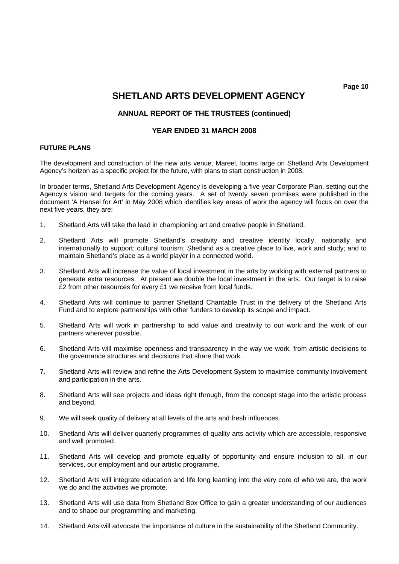**Page 10**  $\blacksquare$  Page 10  $\blacksquare$ 

# **SHETLAND ARTS DEVELOPMENT AGENCY**

# **ANNUAL REPORT OF THE TRUSTEES (continued)**

## **YEAR ENDED 31 MARCH 2008**

### **FUTURE PLANS**

The development and construction of the new arts venue, Mareel, looms large on Shetland Arts Development Agency's horizon as a specific project for the future, with plans to start construction in 2008.

In broader terms, Shetland Arts Development Agency is developing a five year Corporate Plan, setting out the Agency's vision and targets for the coming years. A set of twenty seven promises were published in the document 'A Hensel for Art' in May 2008 which identifies key areas of work the agency will focus on over the next five years, they are:

- 1. Shetland Arts will take the lead in championing art and creative people in Shetland.
- 2. Shetland Arts will promote Shetland's creativity and creative identity locally, nationally and internationally to support: cultural tourism; Shetland as a creative place to live, work and study; and to maintain Shetland's place as a world player in a connected world.
- 3. Shetland Arts will increase the value of local investment in the arts by working with external partners to generate extra resources. At present we double the local investment in the arts. Our target is to raise £2 from other resources for every £1 we receive from local funds.
- 4. Shetland Arts will continue to partner Shetland Charitable Trust in the delivery of the Shetland Arts Fund and to explore partnerships with other funders to develop its scope and impact.
- 5. Shetland Arts will work in partnership to add value and creativity to our work and the work of our partners wherever possible.
- 6. Shetland Arts will maximise openness and transparency in the way we work, from artistic decisions to the governance structures and decisions that share that work.
- 7. Shetland Arts will review and refine the Arts Development System to maximise community involvement and participation in the arts.
- 8. Shetland Arts will see projects and ideas right through, from the concept stage into the artistic process and beyond.
- 9. We will seek quality of delivery at all levels of the arts and fresh influences.
- 10. Shetland Arts will deliver quarterly programmes of quality arts activity which are accessible, responsive and well promoted.
- 11. Shetland Arts will develop and promote equality of opportunity and ensure inclusion to all, in our services, our employment and our artistic programme.
- 12. Shetland Arts will integrate education and life long learning into the very core of who we are, the work we do and the activities we promote.
- 13. Shetland Arts will use data from Shetland Box Office to gain a greater understanding of our audiences and to shape our programming and marketing.
- 14. Shetland Arts will advocate the importance of culture in the sustainability of the Shetland Community.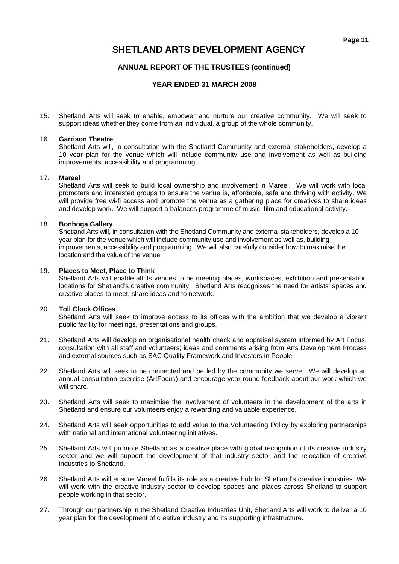# **ANNUAL REPORT OF THE TRUSTEES (continued)**

# **YEAR ENDED 31 MARCH 2008**

15. Shetland Arts will seek to enable, empower and nurture our creative community. We will seek to support ideas whether they come from an individual, a group of the whole community.

#### 16. **Garrison Theatre**

 Shetland Arts will, in consultation with the Shetland Community and external stakeholders, develop a 10 year plan for the venue which will include community use and involvement as well as building improvements, accessibility and programming.

### 17. **Mareel**

 Shetland Arts will seek to build local ownership and involvement in Mareel. We will work with local promoters and interested groups to ensure the venue is, affordable, safe and thriving with activity. We will provide free wi-fi access and promote the venue as a gathering place for creatives to share ideas and develop work. We will support a balances programme of music, film and educational activity.

### 18. **Bonhoga Gallery**

 Shetland Arts will, in consultation with the Shetland Community and external stakeholders, develop a 10 year plan for the venue which will include community use and involvement as well as, building improvements, accessibility and programming. We will also carefully consider how to maximise the location and the value of the venue.

### 19. **Places to Meet, Place to Think**

 Shetland Arts will enable all its venues to be meeting places, workspaces, exhibition and presentation locations for Shetland's creative community. Shetland Arts recognises the need for artists' spaces and creative places to meet, share ideas and to network.

## 20. **Toll Clock Offices**

 Shetland Arts will seek to improve access to its offices with the ambition that we develop a vibrant public facility for meetings, presentations and groups.

- 21. Shetland Arts will develop an organisational health check and appraisal system informed by Art Focus, consultation with all staff and volunteers; ideas and comments arising from Arts Development Process and external sources such as SAC Quality Framework and Investors in People.
- 22. Shetland Arts will seek to be connected and be led by the community we serve. We will develop an annual consultation exercise (ArtFocus) and encourage year round feedback about our work which we will share
- 23. Shetland Arts will seek to maximise the involvement of volunteers in the development of the arts in Shetland and ensure our volunteers enjoy a rewarding and valuable experience.
- 24. Shetland Arts will seek opportunities to add value to the Volunteering Policy by exploring partnerships with national and international volunteering initiatives.
- 25. Shetland Arts will promote Shetland as a creative place with global recognition of its creative industry sector and we will support the development of that industry sector and the relocation of creative industries to Shetland.
- 26. Shetland Arts will ensure Mareel fulfills its role as a creative hub for Shetland's creative industries. We will work with the creative industry sector to develop spaces and places across Shetland to support people working in that sector.
- 27. Through our partnership in the Shetland Creative Industries Unit, Shetland Arts will work to deliver a 10 year plan for the development of creative industry and its supporting infrastructure.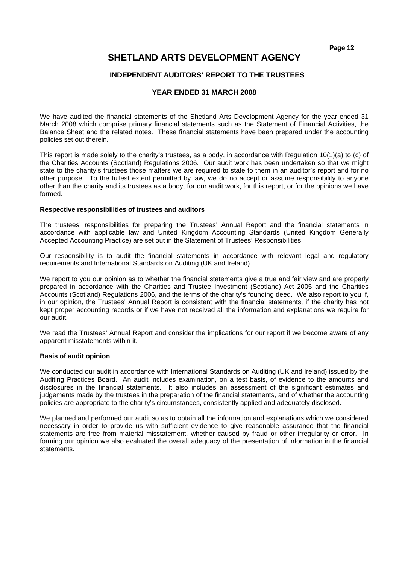# **SHETLAND ARTS DEVELOPMENT AGENCY**

# **INDEPENDENT AUDITORS' REPORT TO THE TRUSTEES**

# **YEAR ENDED 31 MARCH 2008**

We have audited the financial statements of the Shetland Arts Development Agency for the year ended 31 March 2008 which comprise primary financial statements such as the Statement of Financial Activities, the Balance Sheet and the related notes. These financial statements have been prepared under the accounting policies set out therein.

This report is made solely to the charity's trustees, as a body, in accordance with Regulation 10(1)(a) to (c) of the Charities Accounts (Scotland) Regulations 2006. Our audit work has been undertaken so that we might state to the charity's trustees those matters we are required to state to them in an auditor's report and for no other purpose. To the fullest extent permitted by law, we do no accept or assume responsibility to anyone other than the charity and its trustees as a body, for our audit work, for this report, or for the opinions we have formed.

#### **Respective responsibilities of trustees and auditors**

The trustees' responsibilities for preparing the Trustees' Annual Report and the financial statements in accordance with applicable law and United Kingdom Accounting Standards (United Kingdom Generally Accepted Accounting Practice) are set out in the Statement of Trustees' Responsibilities.

Our responsibility is to audit the financial statements in accordance with relevant legal and regulatory requirements and International Standards on Auditing (UK and Ireland).

We report to you our opinion as to whether the financial statements give a true and fair view and are properly prepared in accordance with the Charities and Trustee Investment (Scotland) Act 2005 and the Charities Accounts (Scotland) Regulations 2006, and the terms of the charity's founding deed. We also report to you if, in our opinion, the Trustees' Annual Report is consistent with the financial statements, if the charity has not kept proper accounting records or if we have not received all the information and explanations we require for our audit.

We read the Trustees' Annual Report and consider the implications for our report if we become aware of any apparent misstatements within it.

#### **Basis of audit opinion**

We conducted our audit in accordance with International Standards on Auditing (UK and Ireland) issued by the Auditing Practices Board. An audit includes examination, on a test basis, of evidence to the amounts and disclosures in the financial statements. It also includes an assessment of the significant estimates and judgements made by the trustees in the preparation of the financial statements, and of whether the accounting policies are appropriate to the charity's circumstances, consistently applied and adequately disclosed.

We planned and performed our audit so as to obtain all the information and explanations which we considered necessary in order to provide us with sufficient evidence to give reasonable assurance that the financial statements are free from material misstatement, whether caused by fraud or other irregularity or error. In forming our opinion we also evaluated the overall adequacy of the presentation of information in the financial statements.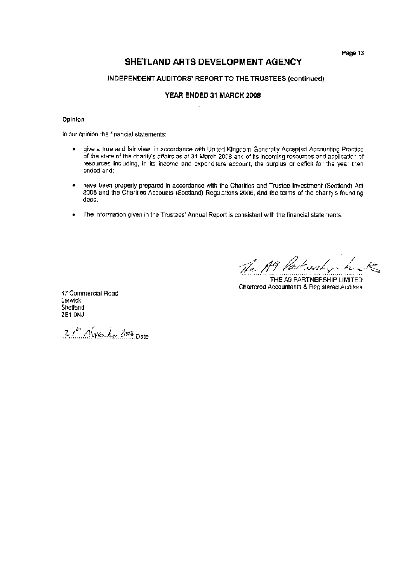# SHETLAND ARTS DEVELOPMENT AGENCY

## INDEPENDENT AUDITORS' REPORT TO THE TRUSTEES (continued)

# YEAR ENDED 31 MARCH 2008

#### Opinion

In our opinion the financial statements:

- give a true and fair view, in accordance with United Kingdom Generally Accepted Accounting Practice  $\bullet$ of the state of the charity's affairs as at 31 March 2008 and of its incoming resources and application of resources including, in its income and expenditure account, the surplus or deficit for the year then ended and;
- $\bullet$ have been properly prepared in accordance with the Charities and Trustee Investment (Scotland) Act 2005 and the Charities Accounts (Scotland) Regulations 2006, and the terms of the charity's founding deed.
- The information given in the Trustees' Annual Report is consistent with the financial statements.  $\bullet$

The A9 Partnership hant

THE A9 PARTNERSHIP LIMITED Chartered Accountants & Registered Auditors

47 Commercial Road Lerwick Shetland ZE1 ONJ

27h November 2008 Date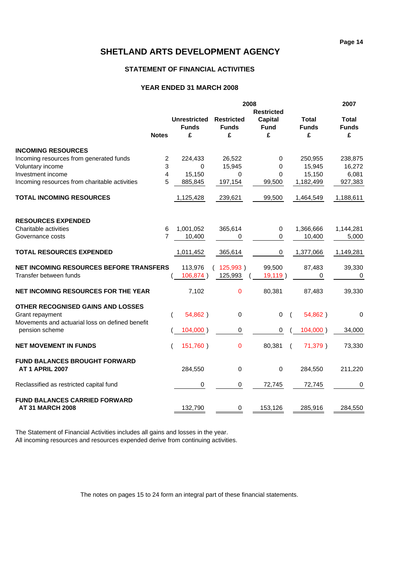# **STATEMENT OF FINANCIAL ACTIVITIES**

### **YEAR ENDED 31 MARCH 2008**

|                                                                   |                | 2007                |                   |                   |                     |              |
|-------------------------------------------------------------------|----------------|---------------------|-------------------|-------------------|---------------------|--------------|
|                                                                   |                |                     |                   | <b>Restricted</b> |                     |              |
|                                                                   |                | <b>Unrestricted</b> | <b>Restricted</b> | <b>Capital</b>    | Total               | Total        |
|                                                                   |                | <b>Funds</b>        | <b>Funds</b>      | <b>Fund</b>       | <b>Funds</b>        | <b>Funds</b> |
|                                                                   | <b>Notes</b>   | £                   | £                 | £                 | £                   | £            |
| <b>INCOMING RESOURCES</b>                                         |                |                     |                   |                   |                     |              |
| Incoming resources from generated funds                           | $\overline{c}$ | 224,433             | 26,522            | 0                 | 250,955             | 238,875      |
| Voluntary income                                                  | 3              | $\Omega$            | 15,945            | 0                 | 15,945              | 16,272       |
| Investment income                                                 | 4              | 15,150              | $\Omega$          | $\Omega$          | 15,150              | 6,081        |
| Incoming resources from charitable activities                     | 5              | 885,845             | 197,154           | 99,500            | 1,182,499           | 927,383      |
| <b>TOTAL INCOMING RESOURCES</b>                                   |                | 1,125,428           | 239,621           | 99,500            | 1,464,549           | 1,188,611    |
|                                                                   |                |                     |                   |                   |                     |              |
| <b>RESOURCES EXPENDED</b><br>Charitable activities                | 6              | 1,001,052           | 365,614           | 0                 | 1,366,666           | 1,144,281    |
|                                                                   | $\overline{7}$ | 10,400              |                   | 0                 | 10,400              | 5,000        |
| Governance costs                                                  |                |                     | 0                 |                   |                     |              |
| <b>TOTAL RESOURCES EXPENDED</b>                                   |                | 1,011,452           | 365,614           | 0                 | 1,377,066           | 1,149,281    |
| <b>NET INCOMING RESOURCES BEFORE TRANSFERS</b>                    |                | 113,976             | (125,993)         | 99,500            | 87,483              | 39,330       |
| Transfer between funds                                            |                | 106,874)            | 125,993           | 19,119)           | 0                   | $\mathbf 0$  |
| NET INCOMING RESOURCES FOR THE YEAR                               |                | 7,102               | 0                 | 80,381            | 87,483              | 39,330       |
| OTHER RECOGNISED GAINS AND LOSSES                                 |                |                     |                   |                   |                     |              |
| Grant repayment                                                   |                | 54,862)             | $\pmb{0}$         | $\mathbf 0$       | 54,862)<br>$\left($ | 0            |
| Movements and actuarial loss on defined benefit<br>pension scheme |                | 104,000)            | 0                 | 0                 | 104,000)            | 34,000       |
| <b>NET MOVEMENT IN FUNDS</b>                                      |                | 151,760)            | 0                 | 80,381            | 71,379)<br>$\left($ | 73,330       |
|                                                                   |                |                     |                   |                   |                     |              |
| <b>FUND BALANCES BROUGHT FORWARD</b><br><b>AT 1 APRIL 2007</b>    |                | 284,550             | $\mathbf 0$       | 0                 | 284,550             | 211,220      |
| Reclassified as restricted capital fund                           |                | 0                   | 0                 | 72,745            | 72,745              | 0            |
| <b>FUND BALANCES CARRIED FORWARD</b>                              |                |                     |                   |                   |                     |              |
| <b>AT 31 MARCH 2008</b>                                           |                | 132,790             | 0                 | 153,126           | 285,916             | 284,550      |

The Statement of Financial Activities includes all gains and losses in the year. All incoming resources and resources expended derive from continuing activities.

The notes on pages 15 to 24 form an integral part of these financial statements.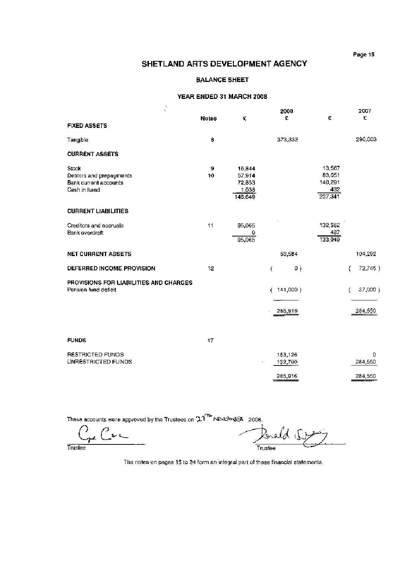# **BALANCE SHEET**

#### YEAR ENDED 31 MARCH 2008

| $\blacksquare$                         |              |         | 2008      |         | 2007         |
|----------------------------------------|--------------|---------|-----------|---------|--------------|
|                                        | <b>Notes</b> | £       | £         | £       | £            |
| <b>FIXED ASSETS</b>                    |              |         |           |         |              |
| Tangible                               | ₿            |         | 373,332   |         | 290,003      |
| <b>CURRENT ASSETS</b>                  |              |         |           |         |              |
| Stock                                  | 9            | 16,844  |           | 13,567  |              |
| Debtors and prepayments                | 10           | 57,914  |           | 83,051  |              |
| Bank current accounts                  |              | 72,853  |           | 140,291 |              |
| Cash in hand                           |              | 1,038   |           | 432     |              |
|                                        |              | 148,649 |           | 237,341 |              |
| <b>CURRENT LIABILITIES</b>             |              |         |           |         |              |
| Creditors and accruats                 | 11           | 95,065  |           | 132,562 |              |
| Bank overdraft                         |              | 0       |           | 487     |              |
|                                        |              | 95,065  |           | 133,049 |              |
| <b>NET CURRENT ASSETS</b>              |              |         | 53,584    |         | 104,292      |
| DEFERRED INCOME PROVISION              | 12           |         | 0)<br>€   |         | 72,745)<br>ţ |
| PROVISIONS FOR LIABILITIES AND CHARGES |              |         |           |         |              |
| Pension fund deficit                   |              |         | (141,000) |         | 37,000 }     |
|                                        |              |         |           |         |              |
|                                        |              |         | 285,916   |         | 284,550      |
|                                        |              |         |           |         |              |
| <b>FUNDS</b>                           | 17           |         |           |         |              |
| <b>RESTRICTED FUNDS</b>                |              |         | 153,126   |         | 0            |
| UNRESTRICTED FUNDS                     |              |         | 132,790   |         | 284,550      |
|                                        |              |         |           |         |              |
|                                        |              |         | 285,916   |         | 284,550      |
|                                        |              |         |           |         |              |

These accounts were approved by the Trustees on  $24^{\text{th}}$ ND43W334 2008.

 $\mathcal{C}_{\mathbf{r}^{\mathbf{z}}}$  Cr  $\mathbf{c}$ 

ald (! Trustee

Trustee

The notes on pages 15 to 24 form an integral part of these financial statements.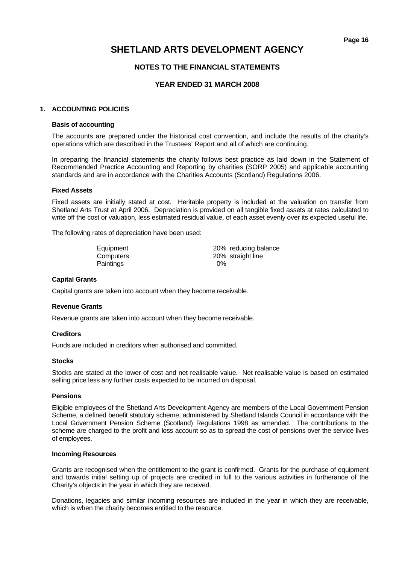# **NOTES TO THE FINANCIAL STATEMENTS**

# **YEAR ENDED 31 MARCH 2008**

#### **1. ACCOUNTING POLICIES**

#### **Basis of accounting**

The accounts are prepared under the historical cost convention, and include the results of the charity's operations which are described in the Trustees' Report and all of which are continuing.

In preparing the financial statements the charity follows best practice as laid down in the Statement of Recommended Practice Accounting and Reporting by charities (SORP 2005) and applicable accounting standards and are in accordance with the Charities Accounts (Scotland) Regulations 2006.

#### **Fixed Assets**

 Fixed assets are initially stated at cost. Heritable property is included at the valuation on transfer from Shetland Arts Trust at April 2006. Depreciation is provided on all tangible fixed assets at rates calculated to write off the cost or valuation, less estimated residual value, of each asset evenly over its expected useful life.

The following rates of depreciation have been used:

| Equipment        | 20% reducing balance |
|------------------|----------------------|
| Computers        | 20% straight line    |
| <b>Paintings</b> | $0\%$                |

#### **Capital Grants**

Capital grants are taken into account when they become receivable.

#### **Revenue Grants**

Revenue grants are taken into account when they become receivable.

#### **Creditors**

Funds are included in creditors when authorised and committed.

#### **Stocks**

Stocks are stated at the lower of cost and net realisable value. Net realisable value is based on estimated selling price less any further costs expected to be incurred on disposal.

### **Pensions**

Eligible employees of the Shetland Arts Development Agency are members of the Local Government Pension Scheme, a defined benefit statutory scheme, administered by Shetland Islands Council in accordance with the Local Government Pension Scheme (Scotland) Regulations 1998 as amended. The contributions to the scheme are charged to the profit and loss account so as to spread the cost of pensions over the service lives of employees.

#### **Incoming Resources**

Grants are recognised when the entitlement to the grant is confirmed. Grants for the purchase of equipment and towards initial setting up of projects are credited in full to the various activities in furtherance of the Charity's objects in the year in which they are received.

 Donations, legacies and similar incoming resources are included in the year in which they are receivable, which is when the charity becomes entitled to the resource.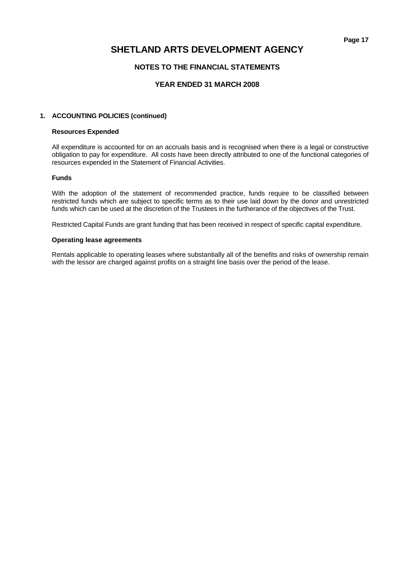# **SHETLAND ARTS DEVELOPMENT AGENCY**

# **NOTES TO THE FINANCIAL STATEMENTS**

# **YEAR ENDED 31 MARCH 2008**

### **1. ACCOUNTING POLICIES (continued)**

#### **Resources Expended**

 All expenditure is accounted for on an accruals basis and is recognised when there is a legal or constructive obligation to pay for expenditure. All costs have been directly attributed to one of the functional categories of resources expended in the Statement of Financial Activities.

#### **Funds**

 With the adoption of the statement of recommended practice, funds require to be classified between restricted funds which are subject to specific terms as to their use laid down by the donor and unrestricted funds which can be used at the discretion of the Trustees in the furtherance of the objectives of the Trust.

Restricted Capital Funds are grant funding that has been received in respect of specific capital expenditure.

#### **Operating lease agreements**

 Rentals applicable to operating leases where substantially all of the benefits and risks of ownership remain with the lessor are charged against profits on a straight line basis over the period of the lease.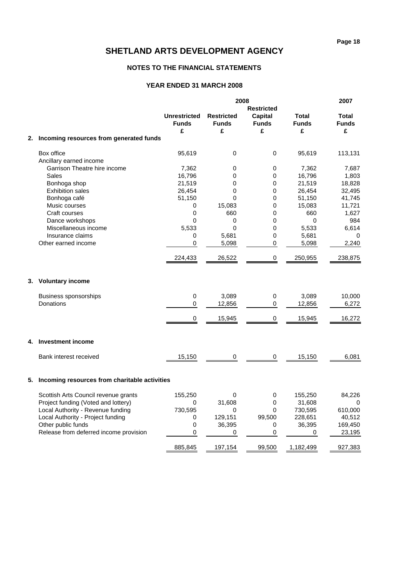# **NOTES TO THE FINANCIAL STATEMENTS**

|    |                                               |                                     |                                   | 2007                           |                              |                              |
|----|-----------------------------------------------|-------------------------------------|-----------------------------------|--------------------------------|------------------------------|------------------------------|
|    |                                               |                                     |                                   | <b>Restricted</b>              |                              |                              |
|    |                                               | <b>Unrestricted</b><br><b>Funds</b> | <b>Restricted</b><br><b>Funds</b> | <b>Capital</b><br><b>Funds</b> | <b>Total</b><br><b>Funds</b> | <b>Total</b><br><b>Funds</b> |
|    |                                               | £                                   | £                                 | £                              | £                            | £                            |
| 2. | Incoming resources from generated funds       |                                     |                                   |                                |                              |                              |
|    | Box office                                    | 95,619                              | 0                                 | $\mathbf 0$                    | 95,619                       | 113,131                      |
|    | Ancillary earned income                       |                                     |                                   |                                |                              |                              |
|    | Garrison Theatre hire income                  | 7,362                               | 0                                 | 0                              | 7,362                        | 7,687                        |
|    | <b>Sales</b>                                  | 16,796                              | 0                                 | $\mathbf 0$                    | 16,796                       | 1,803                        |
|    | Bonhoga shop                                  | 21,519                              | 0                                 | 0                              | 21,519                       | 18,828                       |
|    | <b>Exhibition sales</b>                       | 26,454                              | 0                                 | 0                              | 26,454                       | 32,495                       |
|    | Bonhoga café                                  | 51,150                              | 0                                 | 0                              | 51,150                       | 41,745                       |
|    | Music courses                                 | 0                                   | 15,083                            | 0                              | 15,083                       | 11,721                       |
|    | Craft courses                                 | 0                                   | 660                               | 0                              | 660                          | 1,627                        |
|    | Dance workshops                               | 0                                   | 0                                 | 0                              | $\mathbf 0$                  | 984                          |
|    | Miscellaneous income                          | 5,533                               | $\mathbf 0$                       | 0                              | 5,533                        | 6,614                        |
|    | Insurance claims                              | 0                                   | 5,681                             | 0                              | 5,681                        | 0                            |
|    | Other earned income                           | 0                                   | 5,098                             | $\pmb{0}$                      | 5,098                        | 2,240                        |
|    |                                               | 224,433                             | 26,522                            | 0                              | 250,955                      | 238,875                      |
|    | 3. Voluntary income                           |                                     |                                   |                                |                              |                              |
|    | <b>Business sponsorships</b>                  | 0                                   | 3,089                             | 0                              | 3,089                        | 10,000                       |
|    | Donations                                     | $\mathbf 0$                         | 12,856                            | $\mathbf 0$                    | 12,856                       | 6,272                        |
|    |                                               | 0                                   | 15,945                            | 0                              | 15,945                       | 16,272                       |
|    |                                               |                                     |                                   |                                |                              |                              |
| 4. | <b>Investment income</b>                      |                                     |                                   |                                |                              |                              |
|    | Bank interest received                        | 15,150                              | 0                                 | 0                              | 15,150                       | 6,081                        |
| 5. | Incoming resources from charitable activities |                                     |                                   |                                |                              |                              |
|    | Scottish Arts Council revenue grants          | 155,250                             | 0                                 | 0                              | 155,250                      | 84,226                       |
|    | Project funding (Voted and lottery)           | 0                                   | 31,608                            | $\pmb{0}$                      | 31,608                       | 0                            |
|    | Local Authority - Revenue funding             | 730,595                             | 0                                 | 0                              | 730,595                      | 610,000                      |
|    | Local Authority - Project funding             | 0                                   | 129,151                           | 99,500                         | 228,651                      | 40,512                       |
|    | Other public funds                            | 0                                   | 36,395                            | 0                              | 36,395                       | 169,450                      |
|    | Release from deferred income provision        | $\pmb{0}$                           | 0                                 | 0                              | 0                            | 23,195                       |
|    |                                               | 885,845                             | 197,154                           | 99,500                         | 1,182,499                    | 927,383                      |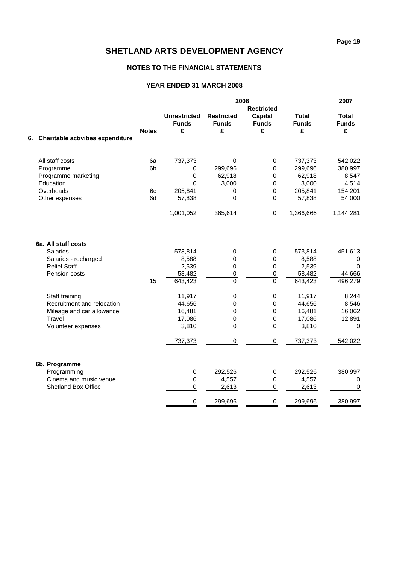# **NOTES TO THE FINANCIAL STATEMENTS**

|                                      |              |                                          | 2008                                   |                              |                            |                            |
|--------------------------------------|--------------|------------------------------------------|----------------------------------------|------------------------------|----------------------------|----------------------------|
|                                      |              |                                          |                                        | <b>Restricted</b>            |                            |                            |
|                                      | <b>Notes</b> | <b>Unrestricted</b><br><b>Funds</b><br>£ | <b>Restricted</b><br><b>Funds</b><br>£ | Capital<br><b>Funds</b><br>£ | Total<br><b>Funds</b><br>£ | Total<br><b>Funds</b><br>£ |
| 6. Charitable activities expenditure |              |                                          |                                        |                              |                            |                            |
| All staff costs                      | 6a           | 737,373                                  | 0                                      | 0                            | 737,373                    | 542,022                    |
| Programme                            | 6b           | 0                                        | 299,696                                | $\mathbf 0$                  | 299,696                    | 380,997                    |
| Programme marketing                  |              | 0                                        | 62,918                                 | $\mathbf 0$                  | 62,918                     | 8,547                      |
| Education                            |              | $\mathbf 0$                              | 3,000                                  | $\mathbf 0$                  | 3,000                      | 4,514                      |
| Overheads                            | 6c           | 205,841                                  | $\pmb{0}$                              | $\mathbf 0$                  | 205,841                    | 154,201                    |
| Other expenses                       | 6d           | 57,838                                   | $\pmb{0}$                              | $\pmb{0}$                    | 57,838                     | 54,000                     |
|                                      |              | 1,001,052                                | 365,614                                | 0                            | 1,366,666                  | 1,144,281                  |
| 6a. All staff costs                  |              |                                          |                                        |                              |                            |                            |
| <b>Salaries</b>                      |              | 573,814                                  | 0                                      | $\mathbf 0$                  | 573,814                    | 451,613                    |
| Salaries - recharged                 |              | 8,588                                    | 0                                      | 0                            | 8,588                      | 0                          |
| <b>Relief Staff</b>                  |              | 2,539                                    | 0                                      | $\pmb{0}$                    | 2,539                      | $\mathbf 0$                |
| Pension costs                        |              | 58,482                                   | $\pmb{0}$                              | $\mathbf 0$                  | 58,482                     | 44,666                     |
|                                      | 15           | 643,423                                  | $\mathbf 0$                            | $\mathbf 0$                  | 643,423                    | 496,279                    |
| Staff training                       |              | 11,917                                   | 0                                      | $\pmb{0}$                    | 11,917                     | 8,244                      |
| Recruitment and relocation           |              | 44,656                                   | 0                                      | $\pmb{0}$                    | 44,656                     | 8,546                      |
| Mileage and car allowance            |              | 16,481                                   | $\mathbf 0$                            | $\mathbf 0$                  | 16,481                     | 16,062                     |
| Travel                               |              | 17,086                                   | 0                                      | $\mathbf 0$                  | 17,086                     | 12,891                     |
| Volunteer expenses                   |              | 3,810                                    | $\Omega$                               | $\Omega$                     | 3,810                      | $\pmb{0}$                  |
|                                      |              | 737,373                                  | 0                                      | $\pmb{0}$                    | 737,373                    | 542,022                    |
| 6b. Programme                        |              |                                          |                                        |                              |                            |                            |
| Programming                          |              | $\mathsf 0$                              | 292,526                                | $\boldsymbol{0}$             | 292,526                    | 380,997                    |
| Cinema and music venue               |              | $\pmb{0}$                                | 4,557                                  | $\pmb{0}$                    | 4,557                      | $\pmb{0}$                  |
| <b>Shetland Box Office</b>           |              | $\pmb{0}$                                | 2,613                                  | $\pmb{0}$                    | 2,613                      | $\mathbf 0$                |
|                                      |              | 0                                        | 299,696                                | $\pmb{0}$                    | 299,696                    | 380,997                    |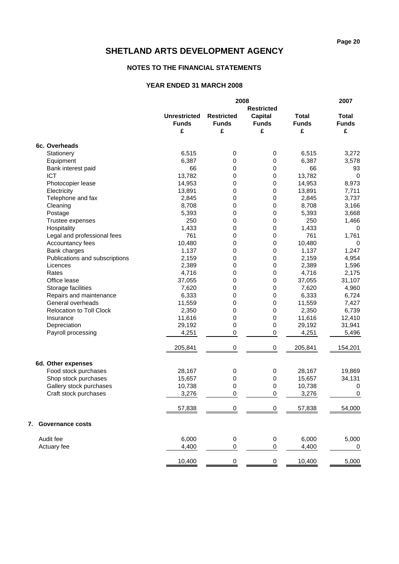# **NOTES TO THE FINANCIAL STATEMENTS**

|                                 |                     |                   | 2007              |              |                  |
|---------------------------------|---------------------|-------------------|-------------------|--------------|------------------|
|                                 |                     |                   | <b>Restricted</b> |              |                  |
|                                 | <b>Unrestricted</b> | <b>Restricted</b> | <b>Capital</b>    | <b>Total</b> | <b>Total</b>     |
|                                 | <b>Funds</b>        | <b>Funds</b>      | <b>Funds</b>      | <b>Funds</b> | <b>Funds</b>     |
|                                 | £                   | £                 | £                 | £            | £                |
| 6c. Overheads                   |                     |                   |                   |              |                  |
| Stationery                      | 6,515               | 0                 | $\pmb{0}$         | 6,515        | 3,272            |
| Equipment                       | 6,387               | 0                 | 0                 | 6,387        | 3,578            |
| Bank interest paid              | 66                  | 0                 | $\pmb{0}$         | 66           | 93               |
| <b>ICT</b>                      | 13,782              | 0                 | 0                 | 13,782       | $\mathbf 0$      |
| Photocopier lease               | 14,953              | 0                 | 0                 | 14,953       | 8,973            |
| Electricity                     | 13,891              | 0                 | $\mathbf 0$       | 13,891       | 7,711            |
| Telephone and fax               | 2,845               | 0                 | $\pmb{0}$         | 2,845        | 3,737            |
| Cleaning                        | 8,708               | 0                 | $\pmb{0}$         | 8,708        | 3,166            |
| Postage                         | 5,393               | 0                 | 0                 | 5,393        | 3,668            |
| Trustee expenses                | 250                 | 0                 | 0                 | 250          | 1,466            |
| Hospitality                     | 1,433               | 0                 | 0                 | 1,433        | 0                |
| Legal and professional fees     | 761                 | 0                 | 0                 | 761          | 1,761            |
| Accountancy fees                | 10,480              | 0                 | 0                 | 10,480       | 0                |
| Bank charges                    | 1,137               | 0                 | $\pmb{0}$         | 1,137        | 1,247            |
| Publications and subscriptions  | 2,159               | 0                 | $\pmb{0}$         | 2,159        | 4,954            |
| Licences                        | 2,389               | 0                 | 0                 | 2,389        | 1,596            |
| Rates                           | 4,716               | 0                 | $\mathbf 0$       | 4,716        | 2,175            |
| Office lease                    | 37,055              | 0                 | $\pmb{0}$         | 37,055       | 31,107           |
| Storage facilities              | 7,620               | 0                 | 0                 | 7,620        | 4,960            |
| Repairs and maintenance         | 6,333               | 0                 | 0                 | 6,333        | 6,724            |
| General overheads               | 11,559              | 0                 | $\pmb{0}$         | 11,559       | 7,427            |
| <b>Relocation to Toll Clock</b> | 2,350               | 0                 | $\pmb{0}$         | 2,350        | 6,739            |
| Insurance                       | 11,616              | 0                 | 0                 | 11,616       | 12,410           |
| Depreciation                    | 29,192              | 0                 | $\mathbf 0$       | 29,192       | 31,941           |
| Payroll processing              | 4,251               | $\pmb{0}$         | $\pmb{0}$         | 4,251        | 5,496            |
|                                 | 205,841             | $\mathbf 0$       | $\pmb{0}$         | 205,841      | 154,201          |
| 6d. Other expenses              |                     |                   |                   |              |                  |
| Food stock purchases            | 28,167              | 0                 | $\pmb{0}$         | 28,167       | 19,869           |
| Shop stock purchases            | 15,657              | 0                 | 0                 | 15,657       | 34,131           |
| Gallery stock purchases         | 10,738              | 0                 | 0                 | 10,738       | $\mathbf 0$      |
| Craft stock purchases           | 3,276               | 0                 | $\pmb{0}$         | 3,276        | 0                |
|                                 | 57,838              | $\pmb{0}$         | 0                 | 57,838       | 54,000           |
| 7.<br><b>Governance costs</b>   |                     |                   |                   |              |                  |
| Audit fee                       | 6,000               | $\pmb{0}$         | $\boldsymbol{0}$  | 6,000        | 5,000            |
| Actuary fee                     | 4,400               | 0                 | $\pmb{0}$         | 4,400        | $\boldsymbol{0}$ |
|                                 | 10,400              | $\pmb{0}$         | $\boldsymbol{0}$  | 10,400       | 5,000            |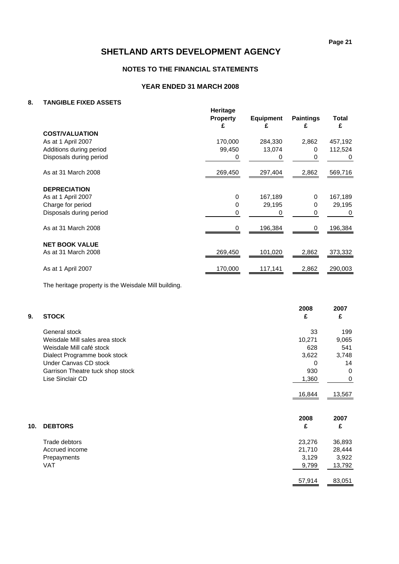# **NOTES TO THE FINANCIAL STATEMENTS**

# **YEAR ENDED 31 MARCH 2008**

### **8. TANGIBLE FIXED ASSETS**

|                         | Heritage<br><b>Property</b><br>£ | <b>Equipment</b><br>£ | <b>Paintings</b><br>£ | <b>Total</b><br>£ |
|-------------------------|----------------------------------|-----------------------|-----------------------|-------------------|
| <b>COST/VALUATION</b>   |                                  |                       |                       |                   |
| As at 1 April 2007      | 170,000                          | 284,330               | 2,862                 | 457,192           |
| Additions during period | 99,450                           | 13,074                | 0                     | 112,524           |
| Disposals during period | 0                                | $\Omega$              | 0                     | 0                 |
| As at 31 March 2008     | 269,450                          | 297,404               | 2,862                 | 569,716           |
| <b>DEPRECIATION</b>     |                                  |                       |                       |                   |
| As at 1 April 2007      | $\Omega$                         | 167,189               | 0                     | 167,189           |
| Charge for period       | 0                                | 29,195                | 0                     | 29,195            |
| Disposals during period | O                                | 0                     | 0                     | 0                 |
| As at 31 March 2008     | 0                                | 196,384               | 0                     | 196,384           |
| <b>NET BOOK VALUE</b>   |                                  |                       |                       |                   |
| As at 31 March 2008     | 269,450                          | 101,020               | 2,862                 | 373,332           |
| As at 1 April 2007      | 170,000                          | 117,141               | 2,862                 | 290,003           |
|                         |                                  |                       |                       |                   |

The heritage property is the Weisdale Mill building.

| 9.  | <b>STOCK</b>                     | 2008<br>£ | 2007<br>£   |
|-----|----------------------------------|-----------|-------------|
|     | General stock                    | 33        | 199         |
|     | Weisdale Mill sales area stock   | 10,271    | 9,065       |
|     | Weisdale Mill café stock         | 628       | 541         |
|     | Dialect Programme book stock     | 3,622     | 3,748       |
|     | Under Canvas CD stock            | $\Omega$  | 14          |
|     | Garrison Theatre tuck shop stock | 930       | $\mathbf 0$ |
|     | Lise Sinclair CD                 | 1,360     | 0           |
|     |                                  | 16,844    | 13,567      |
|     |                                  | 2008      | 2007        |
| 10. | <b>DEBTORS</b>                   | £         | £           |
|     | Trade debtors                    | 23,276    | 36,893      |
|     | Accrued income                   | 21,710    | 28,444      |
|     | Prepayments                      | 3,129     | 3,922       |
|     | <b>VAT</b>                       | 9,799     | 13,792      |
|     |                                  | 57,914    | 83,051      |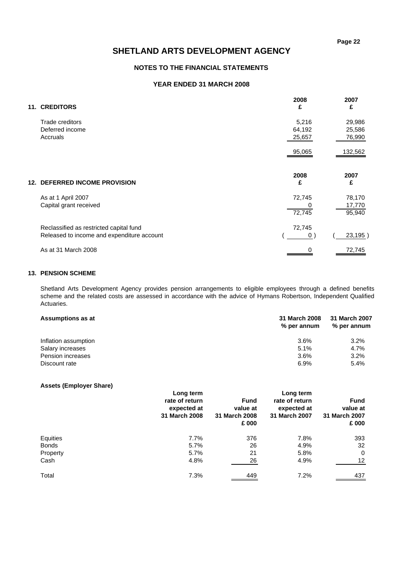### **NOTES TO THE FINANCIAL STATEMENTS**

### **YEAR ENDED 31 MARCH 2008**

| <b>11. CREDITORS</b>                       | 2008<br>£ | 2007<br>£ |
|--------------------------------------------|-----------|-----------|
| Trade creditors                            | 5,216     | 29,986    |
| Deferred income                            | 64,192    | 25,586    |
| Accruals                                   | 25,657    | 76,990    |
|                                            | 95,065    | 132,562   |
| <b>12. DEFERRED INCOME PROVISION</b>       | 2008<br>£ | 2007<br>£ |
| As at 1 April 2007                         | 72,745    | 78,170    |
| Capital grant received                     |           | 17,770    |
|                                            | 72,745    | 95,940    |
| Reclassified as restricted capital fund    | 72,745    |           |
| Released to income and expenditure account | 0)        | 23,195)   |
| As at 31 March 2008                        | 0         | 72,745    |

#### **13. PENSION SCHEME**

Shetland Arts Development Agency provides pension arrangements to eligible employees through a defined benefits scheme and the related costs are assessed in accordance with the advice of Hymans Robertson, Independent Qualified Actuaries.

| Assumptions as at    | 31 March 2008<br>% per annum | 31 March 2007<br>% per annum |
|----------------------|------------------------------|------------------------------|
| Inflation assumption | 3.6%                         | 3.2%                         |
| Salary increases     | 5.1%                         | 4.7%                         |
| Pension increases    | 3.6%                         | 3.2%                         |
| Discount rate        | 6.9%                         | 5.4%                         |

### **Assets (Employer Share)**

|              | Long term<br>rate of return<br>expected at<br>31 March 2008 | <b>Fund</b><br>value at<br>31 March 2008<br>£ 000 | Long term<br>rate of return<br>expected at<br>31 March 2007 | <b>Fund</b><br>value at<br>31 March 2007<br>£ 000 |
|--------------|-------------------------------------------------------------|---------------------------------------------------|-------------------------------------------------------------|---------------------------------------------------|
| Equities     | 7.7%                                                        | 376                                               | 7.8%                                                        | 393                                               |
| <b>Bonds</b> | 5.7%                                                        | 26                                                | 4.9%                                                        | 32                                                |
| Property     | 5.7%                                                        | 21                                                | 5.8%                                                        | $\mathbf 0$                                       |
| Cash         | 4.8%                                                        | 26                                                | 4.9%                                                        | 12                                                |
| Total        | 7.3%                                                        | 449                                               | 7.2%                                                        | 437                                               |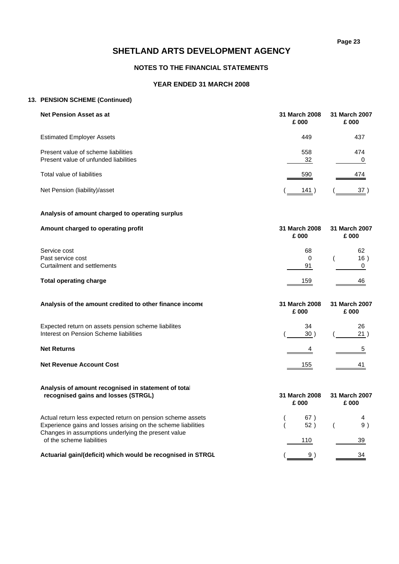# **NOTES TO THE FINANCIAL STATEMENTS**

# **YEAR ENDED 31 MARCH 2008**

# **13. PENSION SCHEME (Continued)**

| Net Pension Asset as at                                                      | 31 March 2008<br>£ 000 | 31 March 2007<br>£ 000 |
|------------------------------------------------------------------------------|------------------------|------------------------|
| <b>Estimated Employer Assets</b>                                             | 449                    | 437                    |
| Present value of scheme liabilities<br>Present value of unfunded liabilities | 558<br>32              | 474                    |
| Total value of liabilities                                                   | 590                    | 474                    |
| Net Pension (liability)/asset                                                | 141                    |                        |

### **Analysis of amount charged to operating surplus**

| Amount charged to operating profit | 31 March 2008<br>£ 000 | 31 March 2007<br>£ 000 |  |  |
|------------------------------------|------------------------|------------------------|--|--|
| Service cost                       | 68                     | 62                     |  |  |
| Past service cost                  | 0                      | 16)                    |  |  |
| Curtailment and settlements        | 91                     |                        |  |  |
| <b>Total operating charge</b>      | 159                    | 46                     |  |  |

| Analysis of the amount credited to other finance income                                       | 31 March 2008<br>£ 000 | 31 March 2007<br>£ 000 |
|-----------------------------------------------------------------------------------------------|------------------------|------------------------|
| Expected return on assets pension scheme liabilites<br>Interest on Pension Scheme liabilities | 34<br>30               | 26<br>21               |
| <b>Net Returns</b>                                                                            |                        | 5                      |
| <b>Net Revenue Account Cost</b>                                                               | 155                    | 41                     |

| Analysis of amount recognised in statement of total<br>recognised gains and losses (STRGL)                           | 31 March 2008<br>£ 000 |     | 31 March 2007<br>£ 000 |    |
|----------------------------------------------------------------------------------------------------------------------|------------------------|-----|------------------------|----|
| Actual return less expected return on pension scheme assets                                                          |                        | 67) |                        |    |
| Experience gains and losses arising on the scheme liabilities<br>Changes in assumptions underlying the present value |                        | 52) |                        | 9) |
| of the scheme liabilities                                                                                            |                        | 110 |                        | 39 |
| Actuarial gain/(deficit) which would be recognised in STRGL                                                          |                        |     |                        | 34 |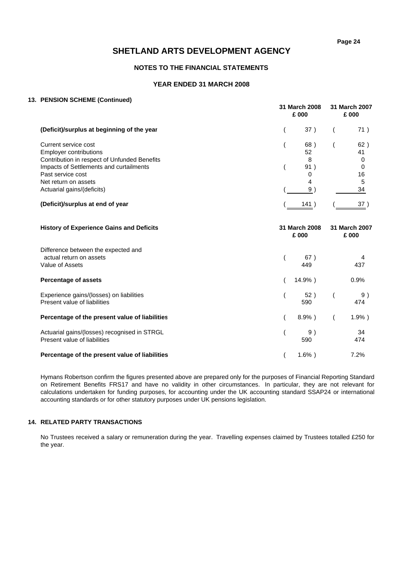### **NOTES TO THE FINANCIAL STATEMENTS**

### **YEAR ENDED 31 MARCH 2008**

#### **13. PENSION SCHEME (Continued)**

|                                              | 31 March 2008<br>£ 000 |     | 31 March 2007<br>£ 000 |          |
|----------------------------------------------|------------------------|-----|------------------------|----------|
| (Deficit)/surplus at beginning of the year   |                        | 37) |                        | 71)      |
| Current service cost                         |                        | 68) |                        | 62)      |
| <b>Employer contributions</b>                |                        | 52  |                        | 41       |
| Contribution in respect of Unfunded Benefits |                        | 8   |                        | 0        |
| Impacts of Settlements and curtailments      |                        | 91) |                        | $\Omega$ |
| Past service cost                            |                        |     |                        | 16       |
| Net return on assets                         |                        | 4   |                        | 5        |
| Actuarial gains/(deficits)                   |                        | 9   |                        | 34       |
| (Deficit)/surplus at end of year             |                        | 141 |                        |          |

| <b>History of Experience Gains and Deficits</b> | 31 March 2008<br>£ 000 | 31 March 2007<br>£ 000 |
|-------------------------------------------------|------------------------|------------------------|
| Difference between the expected and             |                        |                        |
| actual return on assets                         | 67)                    | 4                      |
| Value of Assets                                 | 449                    | 437                    |
| <b>Percentage of assets</b>                     | $14.9\%$ )             | 0.9%                   |
| Experience gains/(losses) on liabilities        | 52) (                  | 9)                     |
| Present value of liabilities                    | 590                    | 474                    |
| Percentage of the present value of liabilities  | $8.9\%$ )              | $1.9%$ )               |
| Actuarial gains/(losses) recognised in STRGL    | 9)                     | 34                     |
| Present value of liabilities                    | 590                    | 474                    |
| Percentage of the present value of liabilities  | $1.6\%$ )              | 7.2%                   |

Hymans Robertson confirm the figures presented above are prepared only for the purposes of Financial Reporting Standard on Retirement Benefits FRS17 and have no validity in other circumstances. In particular, they are not relevant for calculations undertaken for funding purposes, for accounting under the UK accounting standard SSAP24 or international accounting standards or for other statutory purposes under UK pensions legislation.

# **14. RELATED PARTY TRANSACTIONS**

No Trustees received a salary or remuneration during the year. Travelling expenses claimed by Trustees totalled £250 for the year.